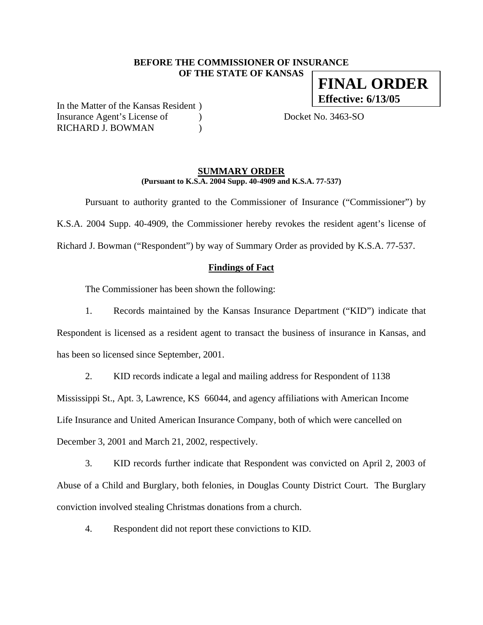## **BEFORE THE COMMISSIONER OF INSURANCE OF THE STATE OF KANSAS**

In the Matter of the Kansas Resident ) Insurance Agent's License of (a) Docket No. 3463-SO RICHARD J. BOWMAN )

#### **SUMMARY ORDER (Pursuant to K.S.A. 2004 Supp. 40-4909 and K.S.A. 77-537)**

 Pursuant to authority granted to the Commissioner of Insurance ("Commissioner") by K.S.A. 2004 Supp. 40-4909, the Commissioner hereby revokes the resident agent's license of Richard J. Bowman ("Respondent") by way of Summary Order as provided by K.S.A. 77-537.

## **Findings of Fact**

The Commissioner has been shown the following:

1. Records maintained by the Kansas Insurance Department ("KID") indicate that Respondent is licensed as a resident agent to transact the business of insurance in Kansas, and has been so licensed since September, 2001.

2. KID records indicate a legal and mailing address for Respondent of 1138 Mississippi St., Apt. 3, Lawrence, KS 66044, and agency affiliations with American Income Life Insurance and United American Insurance Company, both of which were cancelled on December 3, 2001 and March 21, 2002, respectively.

3. KID records further indicate that Respondent was convicted on April 2, 2003 of Abuse of a Child and Burglary, both felonies, in Douglas County District Court. The Burglary conviction involved stealing Christmas donations from a church.

4. Respondent did not report these convictions to KID.

**FINAL ORDER Effective: 6/13/05**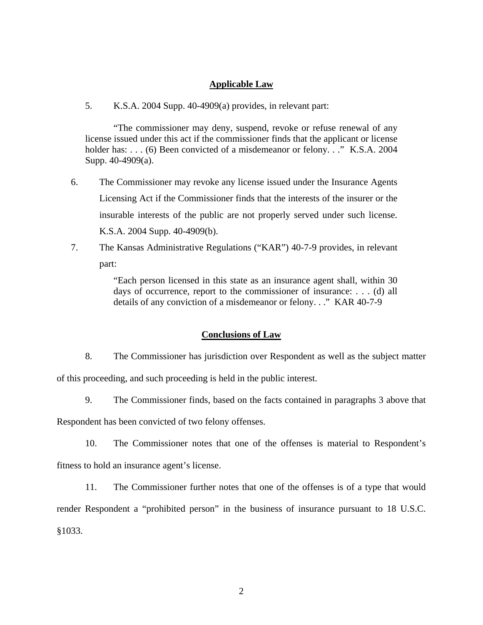#### **Applicable Law**

5. K.S.A. 2004 Supp. 40-4909(a) provides, in relevant part:

"The commissioner may deny, suspend, revoke or refuse renewal of any license issued under this act if the commissioner finds that the applicant or license holder has: . . . (6) Been convicted of a misdemeanor or felony. . ." K.S.A. 2004 Supp. 40-4909(a).

- 6. The Commissioner may revoke any license issued under the Insurance Agents Licensing Act if the Commissioner finds that the interests of the insurer or the insurable interests of the public are not properly served under such license. K.S.A. 2004 Supp. 40-4909(b).
- 7. The Kansas Administrative Regulations ("KAR") 40-7-9 provides, in relevant part:

"Each person licensed in this state as an insurance agent shall, within 30 days of occurrence, report to the commissioner of insurance: . . . (d) all details of any conviction of a misdemeanor or felony. . ." KAR 40-7-9

#### **Conclusions of Law**

- 8. The Commissioner has jurisdiction over Respondent as well as the subject matter of this proceeding, and such proceeding is held in the public interest.
	- 9. The Commissioner finds, based on the facts contained in paragraphs 3 above that

Respondent has been convicted of two felony offenses.

10. The Commissioner notes that one of the offenses is material to Respondent's

fitness to hold an insurance agent's license.

11. The Commissioner further notes that one of the offenses is of a type that would

render Respondent a "prohibited person" in the business of insurance pursuant to 18 U.S.C. §1033.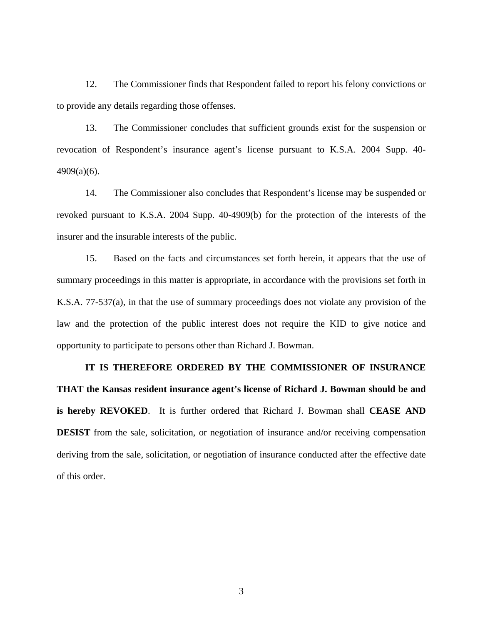12. The Commissioner finds that Respondent failed to report his felony convictions or to provide any details regarding those offenses.

13. The Commissioner concludes that sufficient grounds exist for the suspension or revocation of Respondent's insurance agent's license pursuant to K.S.A. 2004 Supp. 40- 4909(a)(6).

14. The Commissioner also concludes that Respondent's license may be suspended or revoked pursuant to K.S.A. 2004 Supp. 40-4909(b) for the protection of the interests of the insurer and the insurable interests of the public.

15. Based on the facts and circumstances set forth herein, it appears that the use of summary proceedings in this matter is appropriate, in accordance with the provisions set forth in K.S.A. 77-537(a), in that the use of summary proceedings does not violate any provision of the law and the protection of the public interest does not require the KID to give notice and opportunity to participate to persons other than Richard J. Bowman.

**IT IS THEREFORE ORDERED BY THE COMMISSIONER OF INSURANCE THAT the Kansas resident insurance agent's license of Richard J. Bowman should be and is hereby REVOKED**. It is further ordered that Richard J. Bowman shall **CEASE AND DESIST** from the sale, solicitation, or negotiation of insurance and/or receiving compensation deriving from the sale, solicitation, or negotiation of insurance conducted after the effective date of this order.

3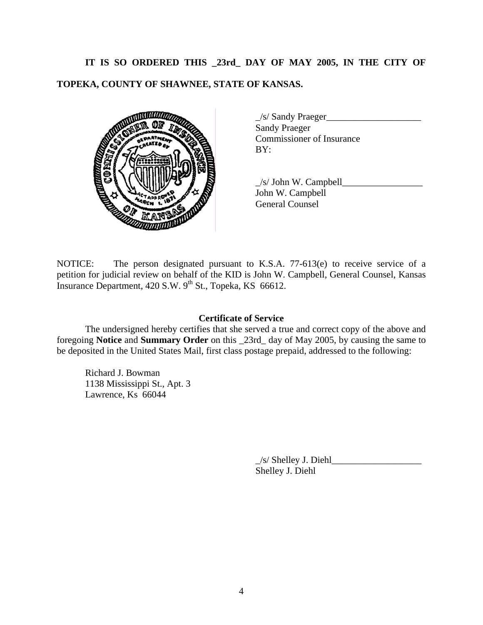# **IT IS SO ORDERED THIS \_23rd\_ DAY OF MAY 2005, IN THE CITY OF TOPEKA, COUNTY OF SHAWNEE, STATE OF KANSAS.**



| $\angle$ s/ Sandy Praeger        |  |
|----------------------------------|--|
| <b>Sandy Praeger</b>             |  |
| <b>Commissioner of Insurance</b> |  |
| BY:                              |  |

 $\angle$ s/ John W. Campbell $\angle$ John W. Campbell General Counsel

NOTICE: The person designated pursuant to K.S.A. 77-613(e) to receive service of a petition for judicial review on behalf of the KID is John W. Campbell, General Counsel, Kansas Insurance Department,  $420$  S.W.  $9^{th}$  St., Topeka, KS 66612.

# **Certificate of Service**

 The undersigned hereby certifies that she served a true and correct copy of the above and foregoing **Notice** and **Summary Order** on this \_23rd\_ day of May 2005, by causing the same to be deposited in the United States Mail, first class postage prepaid, addressed to the following:

Richard J. Bowman 1138 Mississippi St., Apt. 3 Lawrence, Ks 66044

> $\angle$ s/ Shelley J. Diehl $\angle$ Shelley J. Diehl